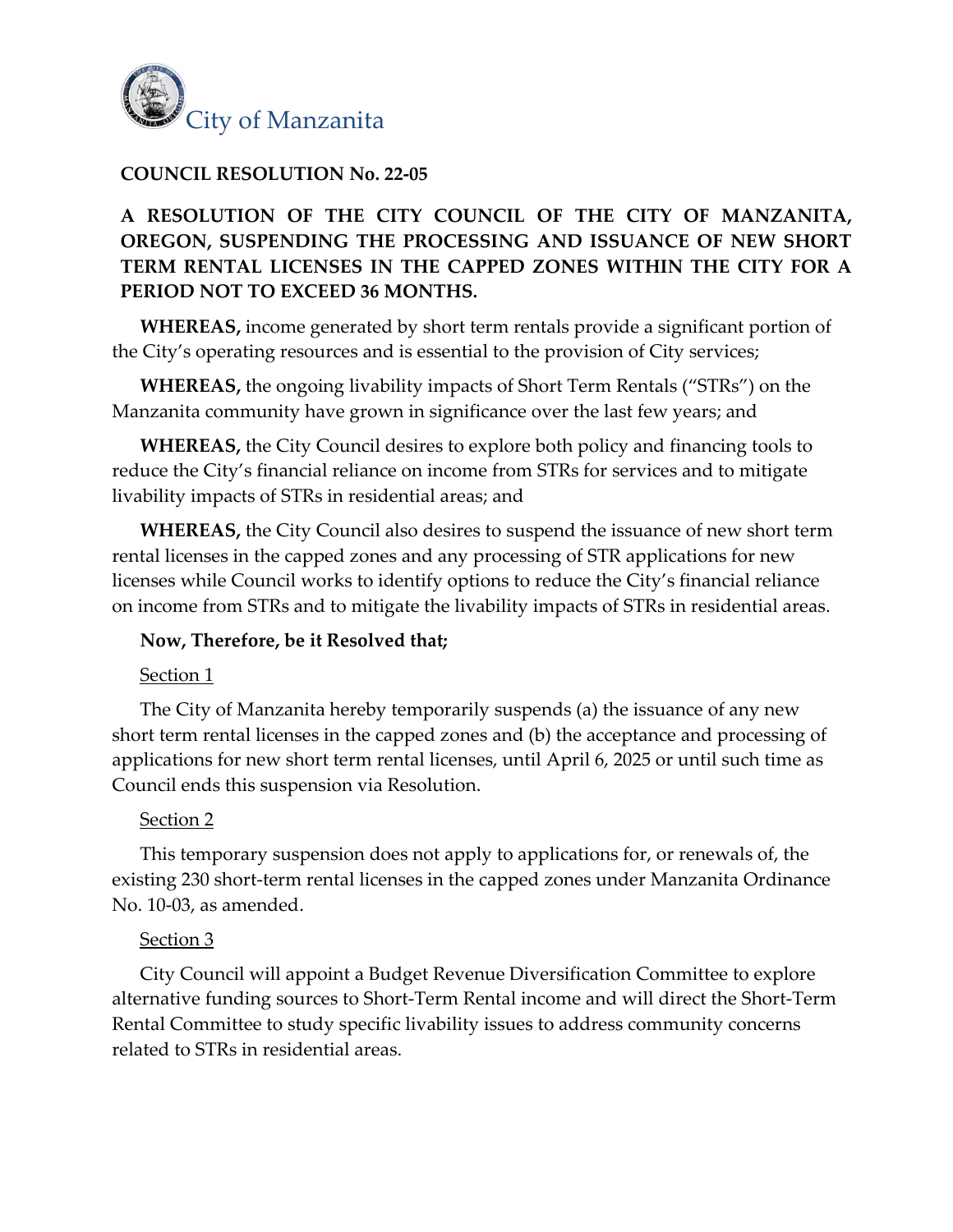

## **COUNCIL RESOLUTION No. 22-05**

# **A RESOLUTION OF THE CITY COUNCIL OF THE CITY OF MANZANITA, OREGON, SUSPENDING THE PROCESSING AND ISSUANCE OF NEW SHORT TERM RENTAL LICENSES IN THE CAPPED ZONES WITHIN THE CITY FOR A PERIOD NOT TO EXCEED 36 MONTHS.**

**WHEREAS,** income generated by short term rentals provide a significant portion of the City's operating resources and is essential to the provision of City services;

**WHEREAS,** the ongoing livability impacts of Short Term Rentals ("STRs") on the Manzanita community have grown in significance over the last few years; and

**WHEREAS,** the City Council desires to explore both policy and financing tools to reduce the City's financial reliance on income from STRs for services and to mitigate livability impacts of STRs in residential areas; and

**WHEREAS,** the City Council also desires to suspend the issuance of new short term rental licenses in the capped zones and any processing of STR applications for new licenses while Council works to identify options to reduce the City's financial reliance on income from STRs and to mitigate the livability impacts of STRs in residential areas.

### **Now, Therefore, be it Resolved that;**

### Section 1

The City of Manzanita hereby temporarily suspends (a) the issuance of any new short term rental licenses in the capped zones and (b) the acceptance and processing of applications for new short term rental licenses, until April 6, 2025 or until such time as Council ends this suspension via Resolution.

### Section 2

This temporary suspension does not apply to applications for, or renewals of, the existing 230 short-term rental licenses in the capped zones under Manzanita Ordinance No. 10-03, as amended.

### Section 3

City Council will appoint a Budget Revenue Diversification Committee to explore alternative funding sources to Short-Term Rental income and will direct the Short-Term Rental Committee to study specific livability issues to address community concerns related to STRs in residential areas.